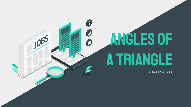## Angles of **A TRIANGLE**

 $\bullet$ 

 $\boldsymbol{\beta}$ 

0

**JOB** 

Created by: Vic Kuang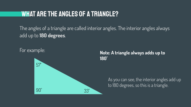## WHAT ARE THE ANGLES OF A TRIANGLE?

The angles of a triangle are called interior angles. The interior angles always add up to **180 degrees**.

For example:



**Note: A triangle always adds up to 180˚**

> As you can see, the interior angles add up to 180 degrees, so this is a triangle.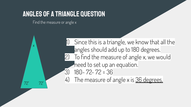## Angles of a Triangle Question

Find the measure or angle x

x

72˚ 72˚

Since this is a triangle, we know that all the angles should add up to 180 degrees. 2) To find the measure of angle x, we would need to set up an equation. 3) 180- 72- 72 = 36 4) The measure of angle x is 36 degrees.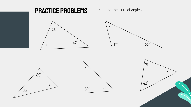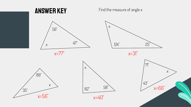